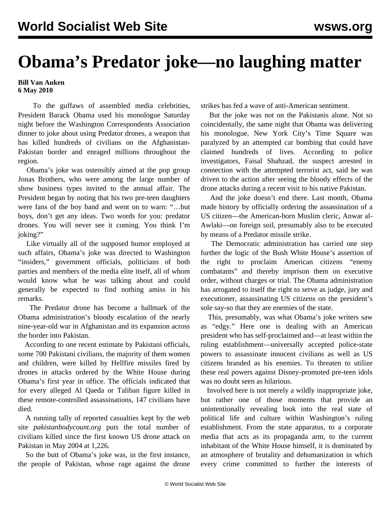## **Obama's Predator joke—no laughing matter**

## **Bill Van Auken 6 May 2010**

 To the guffaws of assembled media celebrities, President Barack Obama used his monologue Saturday night before the Washington Correspondents Association dinner to joke about using Predator drones, a weapon that has killed hundreds of civilians on the Afghanistan-Pakistan border and enraged millions throughout the region.

 Obama's joke was ostensibly aimed at the pop group Jonas Brothers, who were among the large number of show business types invited to the annual affair. The President began by noting that his two pre-teen daughters were fans of the boy band and went on to warn: "…but boys, don't get any ideas. Two words for you: predator drones. You will never see it coming. You think I'm joking?"

 Like virtually all of the supposed humor employed at such affairs, Obama's joke was directed to Washington "insiders," government officials, politicians of both parties and members of the media elite itself, all of whom would know what he was talking about and could generally be expected to find nothing amiss in his remarks.

 The Predator drone has become a hallmark of the Obama administration's bloody escalation of the nearly nine-year-old war in Afghanistan and its expansion across the border into Pakistan.

 According to one recent estimate by Pakistani officials, some 700 Pakistani civilians, the majority of them women and children, were killed by Hellfire missiles fired by drones in attacks ordered by the White House during Obama's first year in office. The officials indicated that for every alleged Al Qaeda or Taliban figure killed in these remote-controlled assassinations, 147 civilians have died.

 A running tally of reported casualties kept by the web site *pakistanbodycount.org* puts the total number of civilians killed since the first known US drone attack on Pakistan in May 2004 at 1,226.

 So the butt of Obama's joke was, in the first instance, the people of Pakistan, whose rage against the drone

strikes has fed a wave of anti-American sentiment.

 But the joke was not on the Pakistanis alone. Not so coincidentally, the same night that Obama was delivering his monologue, New York City's Time Square was paralyzed by an attempted car bombing that could have claimed hundreds of lives. According to police investigators, Faisal Shahzad, the suspect arrested in connection with the attempted terrorist act, said he was driven to the action after seeing the bloody effects of the drone attacks during a recent visit to his native Pakistan.

 And the joke doesn't end there. Last month, Obama made history by officially ordering the assassination of a US citizen—the American-born Muslim cleric, Anwar al-Awlaki—on foreign soil, presumably also to be executed by means of a Predator missile strike.

 The Democratic administration has carried one step further the logic of the Bush White House's assertion of the right to proclaim American citizens "enemy combatants" and thereby imprison them on executive order, without charges or trial. The Obama administration has arrogated to itself the right to serve as judge, jury and executioner, assassinating US citizens on the president's sole say-so that they are enemies of the state.

 This, presumably, was what Obama's joke writers saw as "edgy." Here one is dealing with an American president who has self-proclaimed and—at least within the ruling establishment—universally accepted police-state powers to assassinate innocent civilians as well as US citizens branded as his enemies. To threaten to utilize these real powers against Disney-promoted pre-teen idols was no doubt seen as hilarious.

 Involved here is not merely a wildly inappropriate joke, but rather one of those moments that provide an unintentionally revealing look into the real state of political life and culture within Washington's ruling establishment. From the state apparatus, to a corporate media that acts as its propaganda arm, to the current inhabitant of the White House himself, it is dominated by an atmosphere of brutality and dehumanization in which every crime committed to further the interests of